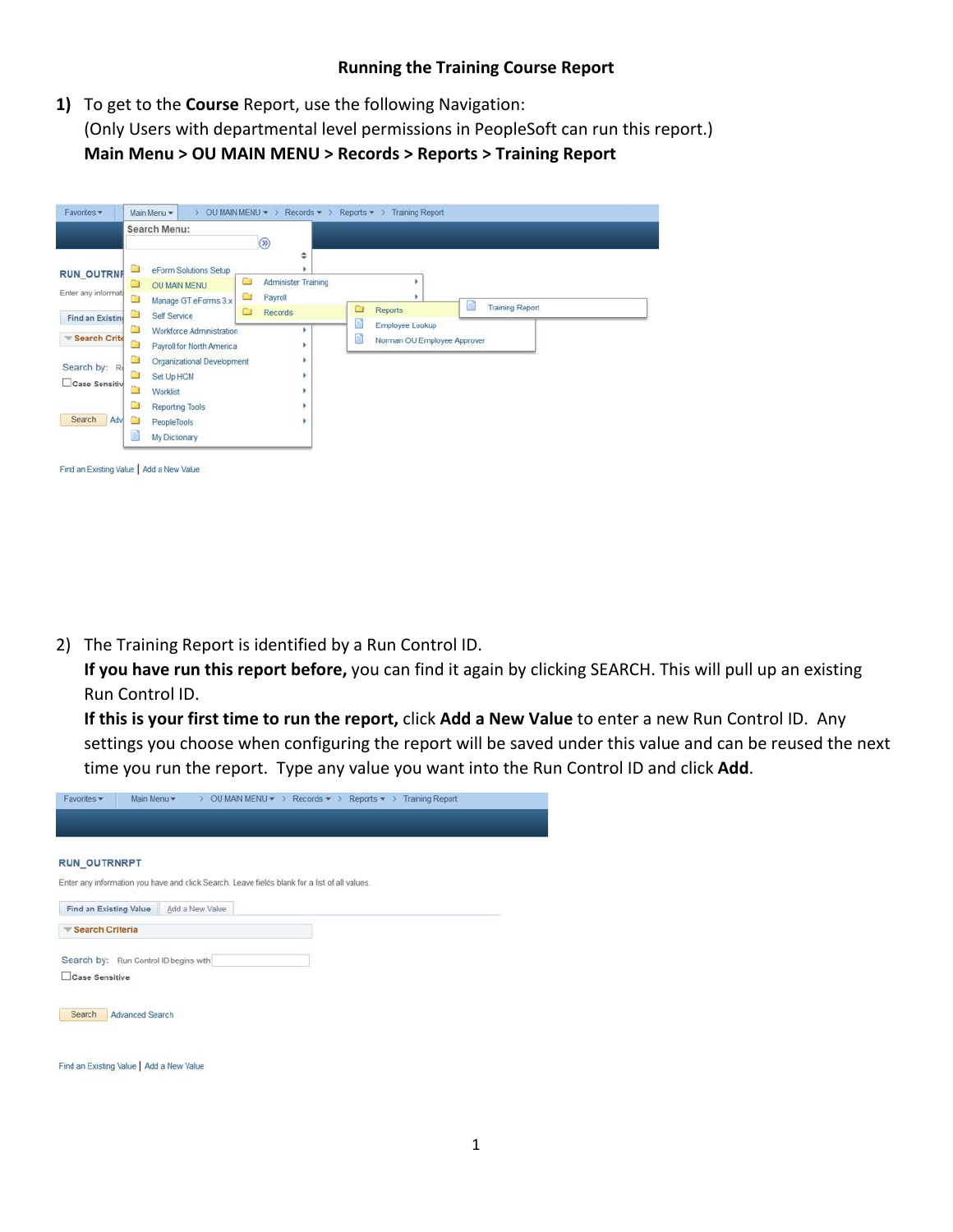## **Running the Training Course Report**

**1)** To get to the **Course** Report, use the following Navigation: (Only Users with departmental level permissions in PeopleSoft can run this report.) **Main Menu > OU MAIN MENU > Records > Reports > Training Report**

|                                          |                  | Search Menu:                                                          |                      | $\circledcirc$                      |   |                                                           |                        |  |
|------------------------------------------|------------------|-----------------------------------------------------------------------|----------------------|-------------------------------------|---|-----------------------------------------------------------|------------------------|--|
| <b>RUN OUTRNF</b><br>Enter any informati | $\Box$<br>a<br>a | eForm Solutions Setup<br>OU MAIN MENU<br>Manage GT eForms 3.x         | a<br><b>Contract</b> | ٠<br>Administer Training<br>Payroll |   |                                                           |                        |  |
| <b>Find an Existing</b><br>Search Crite  | a<br>a<br>Ġ      | Self Service<br>Workforce Administration<br>Payroll for North America | ▭                    | Records                             | ▭ | Reports<br>Employee Lookup<br>Norman OU Employee Approver | <b>Training Report</b> |  |
| Search by: R<br>Case Sensitiv            | a<br>Ò<br>Ō      | Organizational Development<br>Set Up HCM<br>Worklist                  |                      |                                     |   |                                                           |                        |  |
| Search<br>Adv                            | ä<br>Ġ<br>Ħ      | <b>Reporting Tools</b><br>PeopleTools<br>My Dictionary                |                      |                                     |   |                                                           |                        |  |

2) The Training Report is identified by a Run Control ID.

**If you have run this report before,** you can find it again by clicking SEARCH. This will pull up an existing Run Control ID.

**If this is your first time to run the report,** click **Add a New Value** to enter a new Run Control ID. Any settings you choose when configuring the report will be saved under this value and can be reused the next time you run the report. Type any value you want into the Run Control ID and click **Add**.

| <b>RUN_OUTRNRPT</b>                                                                           |  |
|-----------------------------------------------------------------------------------------------|--|
|                                                                                               |  |
| Enter any information you have and click Search. Leave fields blank for a list of all values. |  |
|                                                                                               |  |
| <b>Find an Existing Value</b><br>Add a New Value                                              |  |
| Search Criteria                                                                               |  |
|                                                                                               |  |
| Search by: Run Control ID begins with                                                         |  |
| Case Sensitive                                                                                |  |
|                                                                                               |  |
|                                                                                               |  |
| Search<br><b>Advanced Search</b>                                                              |  |
|                                                                                               |  |
|                                                                                               |  |

Find an Existing Value | Add a New Value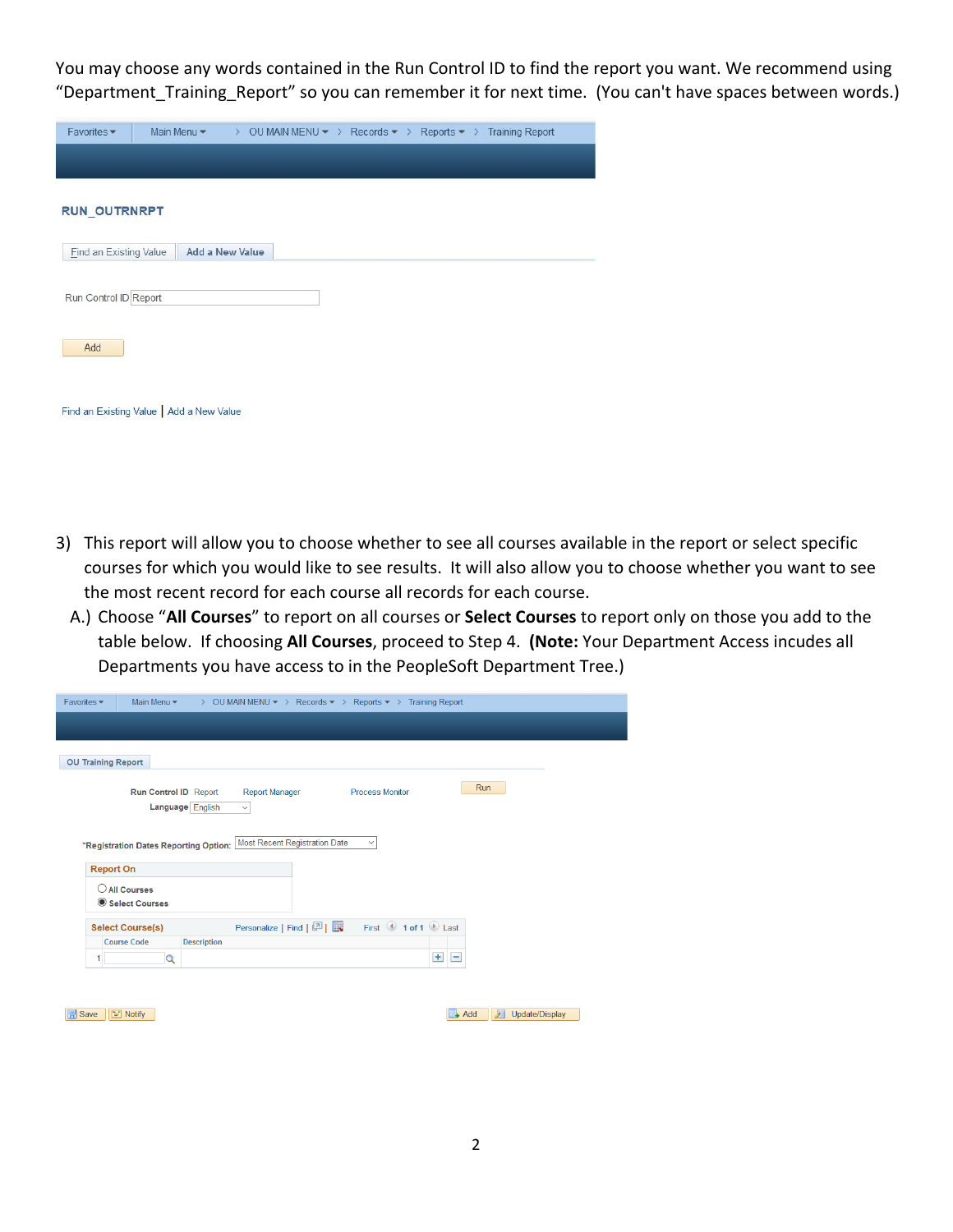You may choose any words contained in the Run Control ID to find the report you want. We recommend using "Department\_Training\_Report" so you can remember it for next time. (You can't have spaces between words.)

| Favorites -                   |                                          | Main Menu $\bullet$ > OU MAIN MENU $\bullet$ > Records $\bullet$ > Reports $\bullet$ > Training Report |  |  |
|-------------------------------|------------------------------------------|--------------------------------------------------------------------------------------------------------|--|--|
|                               |                                          |                                                                                                        |  |  |
| <b>RUN_OUTRNRPT</b>           |                                          |                                                                                                        |  |  |
| <b>Find an Existing Value</b> | <b>Add a New Value</b>                   |                                                                                                        |  |  |
| Run Control ID Report         |                                          |                                                                                                        |  |  |
| Add                           |                                          |                                                                                                        |  |  |
|                               | Find an Existing Value   Add a New Value |                                                                                                        |  |  |

- 3) This report will allow you to choose whether to see all courses available in the report or select specific courses for which you would like to see results. It will also allow you to choose whether you want to see the most recent record for each course all records for each course.
	- A.) Choose "**All Courses**" to report on all courses or **Select Courses** to report only on those you add to the table below. If choosing **All Courses**, proceed to Step 4. **(Note:** Your Department Access incudes all Departments you have access to in the PeopleSoft Department Tree.)

| Favorites -<br>Main Menu v<br>$\rightarrow$               | OU MAIN MENU ▼ > Records ▼ > Reports ▼ > Training Report               |                |
|-----------------------------------------------------------|------------------------------------------------------------------------|----------------|
| <b>OU Training Report</b>                                 |                                                                        |                |
| Run Control ID Report<br>Language English                 | Run<br><b>Process Monitor</b><br><b>Report Manager</b><br>$\checkmark$ |                |
| *Registration Dates Reporting Option:<br><b>Report On</b> | <b>Most Recent Registration Date</b><br>$\checkmark$                   |                |
| C All Courses<br>Select Courses                           |                                                                        |                |
| <b>Select Course(s)</b>                                   | First 1 of 1 D Last<br>Personalize   Find   2                          |                |
| <b>Course Code</b><br><b>Description</b><br>$\alpha$<br>1 | $+$<br>H.                                                              |                |
|                                                           |                                                                        |                |
| $\equiv$ Notify<br><b>同</b> Save                          | $\lambda$<br>$+$ Add                                                   | Update/Display |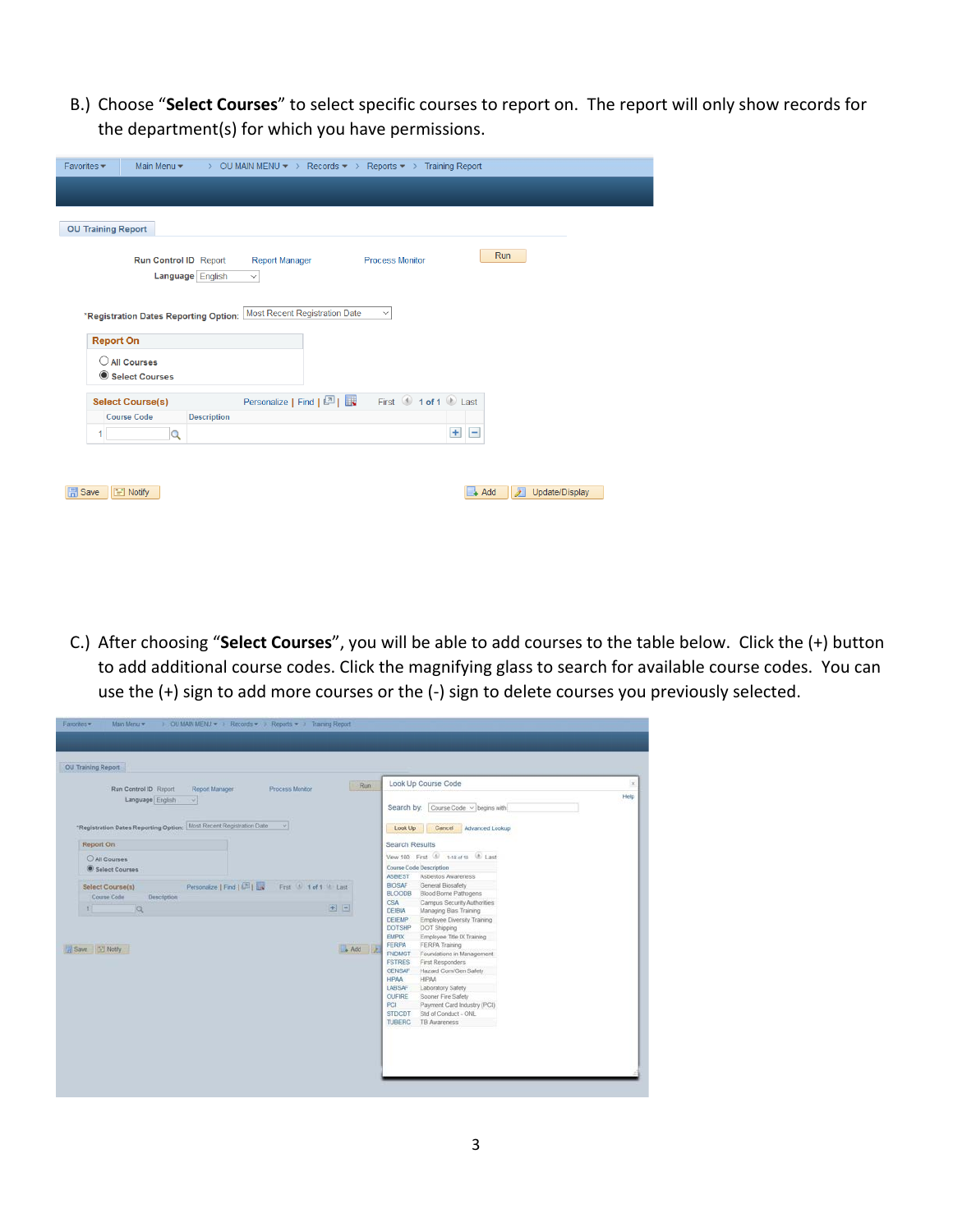B.) Choose "**Select Courses**" to select specific courses to report on. The report will only show records for the department(s) for which you have permissions.

| Favorites $\blacktriangleright$<br>Main Menu -<br>OU MAIN MENU ▼ > Records ▼ > Reports ▼ > Training Report<br>$\rightarrow$ |
|-----------------------------------------------------------------------------------------------------------------------------|
|                                                                                                                             |
| <b>OU Training Report</b>                                                                                                   |
| Run<br><b>Process Monitor</b><br>Run Control ID Report<br><b>Report Manager</b><br>Language English<br>$\checkmark$         |
| Most Recent Registration Date<br>$\checkmark$<br>*Registration Dates Reporting Option:<br><b>Report On</b>                  |
| $\bigcirc$ All Courses<br>Select Courses                                                                                    |
| First 1 of 1 2 Last<br>Personalize   Find   2  <br><b>Select Course(s)</b>                                                  |
| <b>Course Code</b><br><b>Description</b><br>$+$<br>Ξ<br>$\overline{Q}$<br>1                                                 |
| 囩<br><b>日</b> Save<br>$\equiv$ Notify<br>$\Box$ Add<br>Update/Display                                                       |

C.) After choosing "**Select Courses**", you will be able to add courses to the table below. Click the (+) button to add additional course codes. Click the magnifying glass to search for available course codes. You can use the (+) sign to add more courses or the (-) sign to delete courses you previously selected.

| Run<br>Run Control ID Report<br>Report Manager<br>Process Monitor                | Look Up Course Code                                                           | $\propto$ |
|----------------------------------------------------------------------------------|-------------------------------------------------------------------------------|-----------|
| Language English<br>$\rightarrow$                                                | Search by: Course Code v begins with                                          | Help      |
| Most Recent Registration Date<br>$\sim$<br>"Registration Dates Reporting Option: | Look Up<br>Cancel Advanced Lookup                                             |           |
| Report On                                                                        | <b>Search Results</b>                                                         |           |
| C All Courses                                                                    | View 100 First 1-18 of 10 Last                                                |           |
| Select Courses                                                                   | Course Code Description                                                       |           |
|                                                                                  | <b>ASBEST</b><br>Asbestos Awareness                                           |           |
| Personalize   Find   (Al)<br>First 1 1 of 1 & Last<br>Select Course(s)           | General Biosafety<br><b>BIOSAF</b><br><b>BLOODS</b><br>Blood Borne Pathogens  |           |
| Course Code<br>Description                                                       | Campus Security Authorities<br>CSA                                            |           |
| $+$ $-$<br>$\alpha$<br>$\mathbb{R}^n$                                            | Managing Bias Training<br><b>DEIBIA</b>                                       |           |
|                                                                                  | <b>DEIEMP</b><br>Employee Diversity Training<br><b>DOTSHP</b><br>DOT Shipping |           |
|                                                                                  | <b>EMPIX</b><br>Employee Title IX Training                                    |           |
| Add 2<br>Save [12] Notify                                                        | FERPA<br>FERPA Training                                                       |           |
|                                                                                  | <b>FNDMGT</b><br>Foundations in Management                                    |           |
|                                                                                  | <b>FSTRES</b><br>First Responders                                             |           |
|                                                                                  | GENSAF<br>Hazard Com/Gen Safety<br>HIPAA<br><b>HIPAA</b>                      |           |
|                                                                                  | Laboratory Safety<br>LABSAF                                                   |           |
|                                                                                  | OUFIRE<br>Sooner Fire Safety                                                  |           |
|                                                                                  | PCI<br>Payment Card Industry (PCI)                                            |           |
|                                                                                  |                                                                               |           |
|                                                                                  | Std of Conduct - ONL<br><b>STDCDT</b><br><b>TUBERC</b><br><b>TB Awareness</b> |           |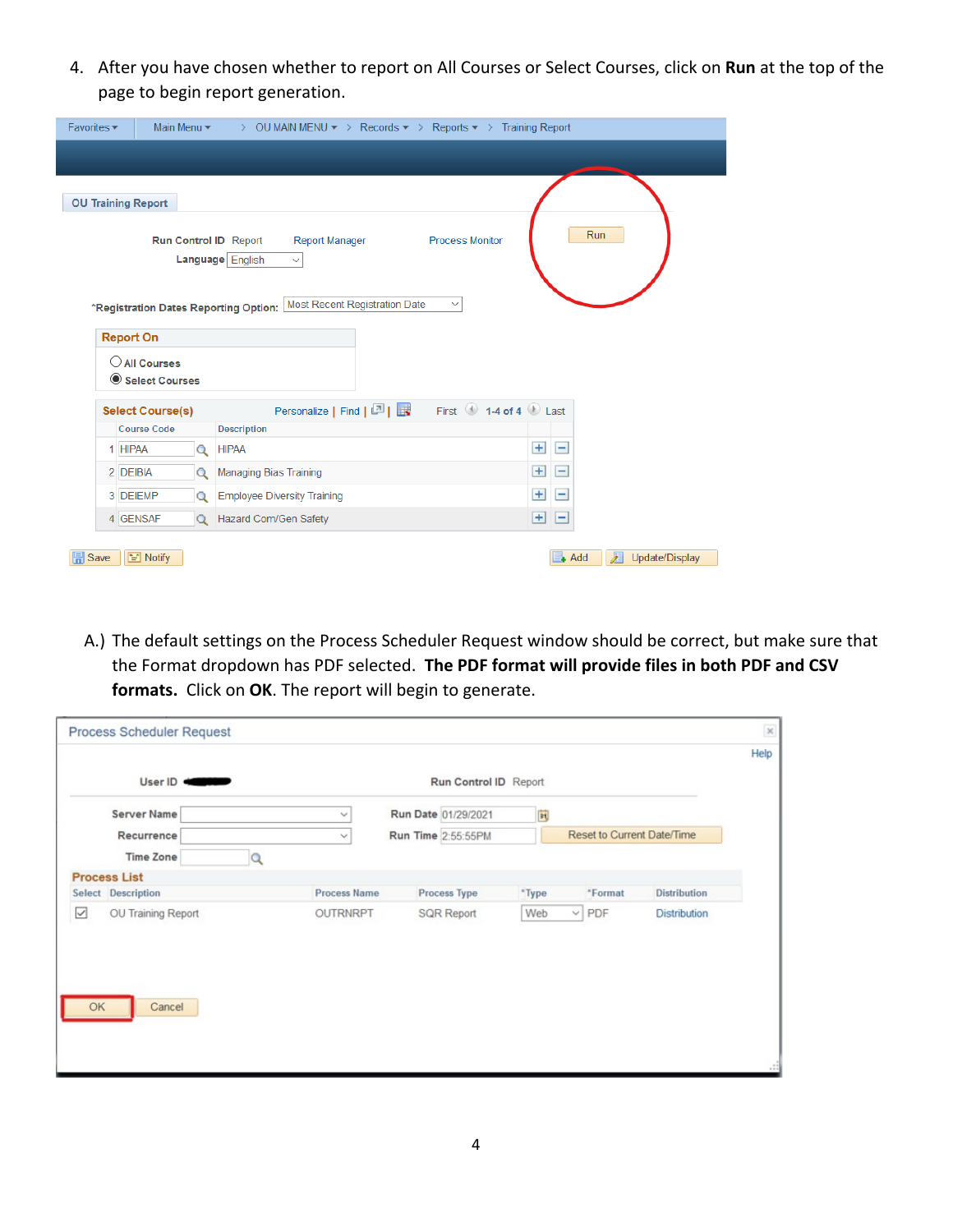4. After you have chosen whether to report on All Courses or Select Courses, click on **Run** at the top of the page to begin report generation.

| Favorites -                                                    | Main Menu $\bullet$ > OU MAIN MENU $\bullet$ > Records $\bullet$ > Reports $\bullet$ > Training Report                               |                                |
|----------------------------------------------------------------|--------------------------------------------------------------------------------------------------------------------------------------|--------------------------------|
|                                                                |                                                                                                                                      |                                |
| <b>OU Training Report</b>                                      |                                                                                                                                      |                                |
| Run Control ID Report<br>*Registration Dates Reporting Option: | <b>Process Monitor</b><br><b>Report Manager</b><br>Language English<br>$\checkmark$<br>Most Recent Registration Date<br>$\checkmark$ | Run                            |
| <b>Report On</b><br>$\bigcirc$ All Courses<br>Select Courses   |                                                                                                                                      |                                |
| <b>Select Course(s)</b>                                        | First $\bigcirc$ 1-4 of 4 $\bigcirc$ Last<br>Personalize   Find   2                                                                  |                                |
| Course Code                                                    | <b>Description</b>                                                                                                                   |                                |
| 1 HIPAA<br>$\alpha$                                            | <b>HIPAA</b>                                                                                                                         | $+$<br>$\equiv$                |
| 2 DEIBIA<br>$\Omega$                                           | <b>Managing Bias Training</b>                                                                                                        | $+$<br>-                       |
| 3 DEIEMP<br>$\Omega$                                           | <b>Employee Diversity Training</b>                                                                                                   | $+$<br>-1                      |
| 4 GENSAF<br>$\Omega$                                           | Hazard Com/Gen Safety                                                                                                                | $\ddot{}$<br>-                 |
| $\equiv$ Notify<br>$\mathbb{R}$ Save                           |                                                                                                                                      | r<br>$+$ Add<br>Update/Display |

A.) The default settings on the Process Scheduler Request window should be correct, but make sure that the Format dropdown has PDF selected. **The PDF format will provide files in both PDF and CSV formats.** Click on **OK**. The report will begin to generate.

| Process Scheduler Request                 |                     |                       |                          |                            |                     | $\times$<br>Help |
|-------------------------------------------|---------------------|-----------------------|--------------------------|----------------------------|---------------------|------------------|
|                                           |                     | Run Control ID Report |                          |                            |                     |                  |
| <b>Server Name</b>                        | $\checkmark$        | Run Date 01/29/2021   | $\overline{\mathbf{31}}$ |                            |                     |                  |
| Recurrence                                | $\checkmark$        | Run Time 2:55:55PM    |                          | Reset to Current Date/Time |                     |                  |
| <b>Time Zone</b>                          | Ω                   |                       |                          |                            |                     |                  |
| <b>Process List</b>                       |                     |                       |                          |                            |                     |                  |
| Select Description                        | <b>Process Name</b> | Process Type          | *Type                    | *Format                    | <b>Distribution</b> |                  |
| $\overline{\smile}$<br>OU Training Report | OUTRNRPT            | <b>SQR Report</b>     | Web                      | $\vee$ PDF                 | Distribution        |                  |
|                                           |                     |                       |                          |                            |                     |                  |
| Cancel<br>OK                              |                     |                       |                          |                            |                     |                  |
|                                           |                     |                       |                          |                            |                     |                  |
|                                           |                     |                       |                          |                            |                     |                  |
|                                           |                     |                       |                          |                            |                     |                  |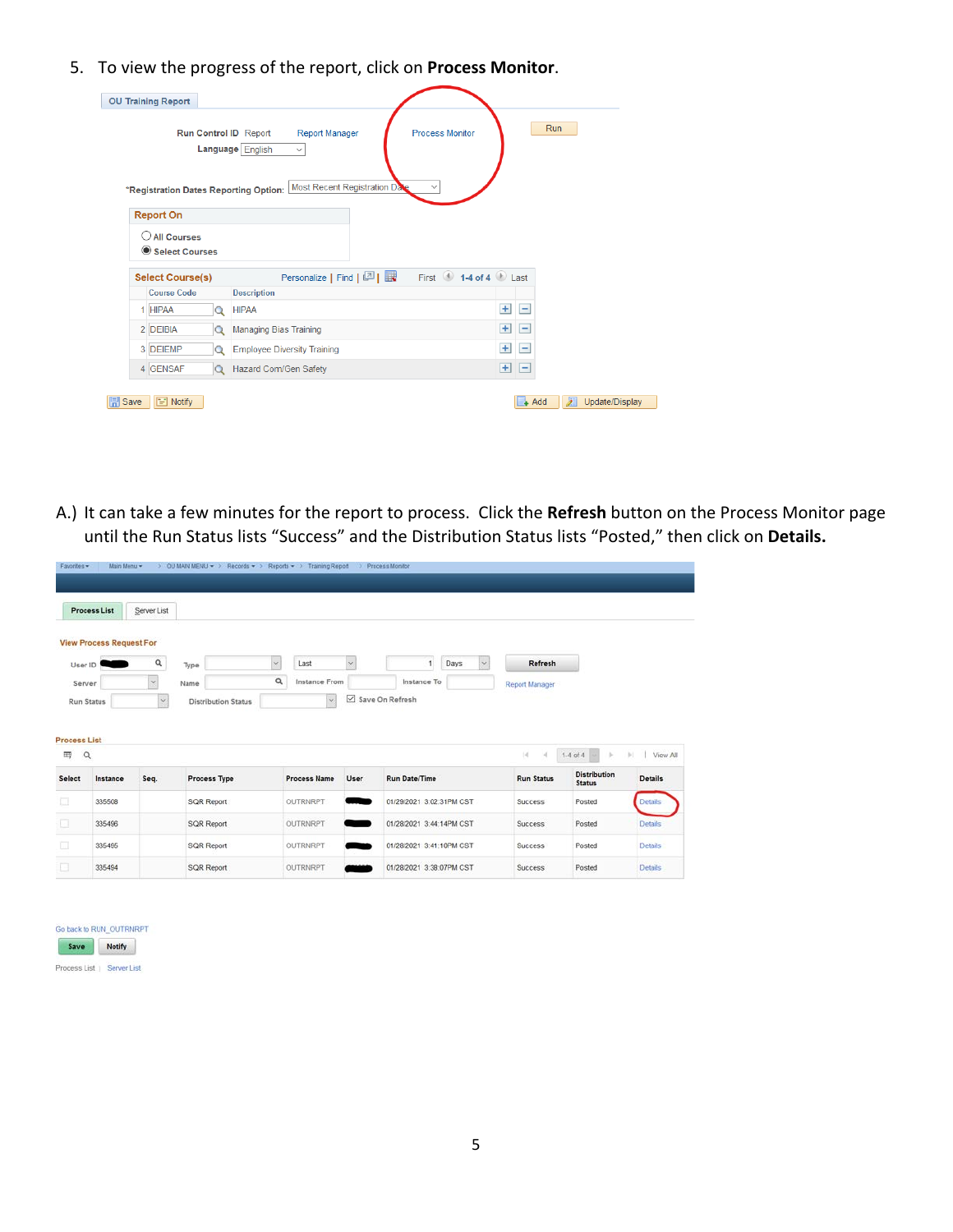5. To view the progress of the report, click on **Process Monitor**.

|    | <b>OU Training Report</b>                 |          |                                                                                                              |     |                          |     |  |
|----|-------------------------------------------|----------|--------------------------------------------------------------------------------------------------------------|-----|--------------------------|-----|--|
|    |                                           |          | <b>Process Monitor</b><br><b>Report Manager</b><br>Run Control ID Report<br>Language English<br>$\checkmark$ |     |                          | Run |  |
| () | <b>Report On</b><br><b>All Courses</b>    |          | Most Recent Registration Date<br>$\checkmark$<br>*Registration Dates Reporting Option:                       |     |                          |     |  |
|    | Select Courses<br><b>Select Course(s)</b> |          |                                                                                                              |     |                          |     |  |
|    | <b>Course Code</b>                        |          | <b>Description</b>                                                                                           |     |                          |     |  |
|    | 1 HIPAA                                   | Q        | <b>HIPAA</b>                                                                                                 | $+$ | $\overline{\phantom{0}}$ |     |  |
|    | 2 DEIBIA                                  | Q        | <b>Managing Bias Training</b>                                                                                | $+$ | -                        |     |  |
|    | 3 DEIEMP                                  | Q        | <b>Employee Diversity Training</b>                                                                           | $+$ | $\overline{\phantom{0}}$ |     |  |
|    |                                           |          |                                                                                                              |     |                          |     |  |
|    | 4 GENSAF                                  | $\alpha$ | <b>Hazard Com/Gen Safety</b>                                                                                 | $+$ | $\blacksquare$           |     |  |

A.) It can take a few minutes for the report to process. Click the **Refresh** button on the Process Monitor page until the Run Status lists "Success" and the Distribution Status lists "Posted," then click on **Details.**

|                                         | Process List                    | Server List           |                            |              |                     |                          |                          |      |        |                    |                                      |                            |
|-----------------------------------------|---------------------------------|-----------------------|----------------------------|--------------|---------------------|--------------------------|--------------------------|------|--------|--------------------|--------------------------------------|----------------------------|
|                                         | <b>View Process Request For</b> |                       |                            |              |                     |                          |                          |      |        |                    |                                      |                            |
| User ID                                 |                                 | $\alpha$              | Type                       | $\mathbb{M}$ | Last                | $\overline{\mathscr{C}}$ |                          | Days | $\sim$ | Refresh            |                                      |                            |
| Server                                  |                                 | $\check{\phantom{a}}$ | Name                       | $\alpha$     | Instance From       |                          | Instance To              |      |        | Report Manager     |                                      |                            |
|                                         | Run Status                      | $\sim$                | <b>Distribution Status</b> |              | $\backsim$          | ☑                        | Save On Refresh          |      |        |                    |                                      |                            |
|                                         |                                 |                       |                            |              |                     |                          |                          |      |        |                    |                                      |                            |
| $\alpha$                                |                                 |                       |                            |              |                     |                          |                          |      |        | $\frac{1}{2}$<br>и | $1-4$ of $4 -$<br>b.                 | b).                        |
|                                         | Instance                        | Seq.                  | Process Type               |              | <b>Process Name</b> | User                     | <b>Run Date/Time</b>     |      |        | <b>Run Status</b>  | <b>Distribution</b><br><b>Status</b> | <b>Details</b>             |
| <b>Process List</b><br>冊<br>Select<br>囗 | 335508                          |                       | SQR Report                 |              | <b>OUTRNRPT</b>     |                          | 01/29/2021 3:02:31PM CST |      |        | Success            | Posted                               | View All<br><b>Details</b> |
|                                         | 335496                          |                       | <b>SQR Report</b>          |              | OUTRNRPT            |                          | 01/28/2021 3:44:14PM CST |      |        | <b>Success</b>     | Posted                               | <b>Details</b>             |
| о<br>吅                                  | 335495                          |                       | <b>SQR Report</b>          |              | OUTRNRPT            |                          | 01/28/2021 3:41:10PM CST |      |        | <b>Success</b>     | Posted                               | <b>Details</b>             |

| Save | Notify |
|------|--------|
|------|--------|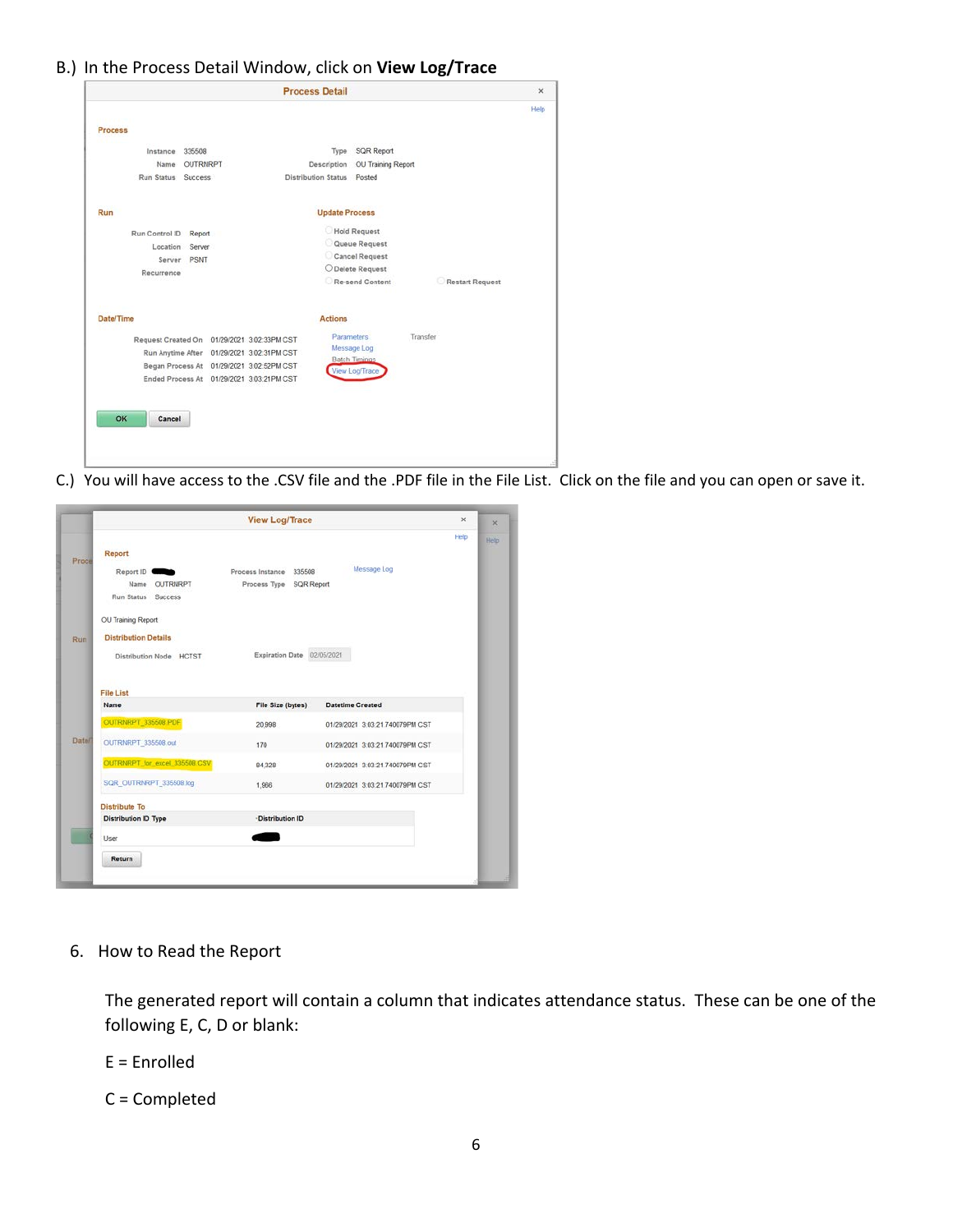## B.) In the Process Detail Window, click on **View Log/Trace**

|                    |                                             | <b>Process Detail</b>      |                      |          |                 | $\times$<br>Help |
|--------------------|---------------------------------------------|----------------------------|----------------------|----------|-----------------|------------------|
| <b>Process</b>     |                                             |                            |                      |          |                 |                  |
| Instance           | 335508                                      |                            | Type SQR Report      |          |                 |                  |
| Name               | OUTRNRPT                                    | Description                | OU Training Report   |          |                 |                  |
| Run Status Success |                                             | Distribution Status Posted |                      |          |                 |                  |
| Run                |                                             | <b>Update Process</b>      |                      |          |                 |                  |
| Run Control ID     | Report                                      |                            | <b>Hold Request</b>  |          |                 |                  |
|                    | Location Server                             |                            | Queue Request        |          |                 |                  |
|                    | Server PSNT                                 |                            | Cancel Request       |          |                 |                  |
| Recurrence         |                                             |                            | O Delete Request     |          |                 |                  |
|                    |                                             |                            | Re-send Content      |          | Restart Request |                  |
| Date/Time          |                                             | <b>Actions</b>             |                      |          |                 |                  |
|                    | Request Created On 01/29/2021 3:02:33PM CST |                            | <b>Parameters</b>    | Transfer |                 |                  |
| Run Anytime After  |                                             | 01/29/2021 3:02:31PM CST   | Message Log          |          |                 |                  |
|                    | Began Process At 01/29/2021 3:02:52PM CST   |                            | <b>Batch Timings</b> |          |                 |                  |
|                    | Ended Process At 01/29/2021 3:03:21PM CST   |                            | View Log/Trace       |          |                 |                  |
|                    |                                             |                            |                      |          |                 |                  |
|                    |                                             |                            |                      |          |                 |                  |
| OK<br>Cancel       |                                             |                            |                      |          |                 |                  |
|                    |                                             |                            |                      |          |                 |                  |
|                    |                                             |                            |                      |          |                 |                  |
|                    |                                             |                            |                      |          |                 |                  |

C.) You will have access to the .CSV file and the .PDF file in the File List. Click on the file and you can open or save it.

|               |                               | <b>View Log/Trace</b>      |                                 | ×<br>$\times$ |
|---------------|-------------------------------|----------------------------|---------------------------------|---------------|
| Proce         | Report                        |                            |                                 | Help<br>Help  |
|               | Report ID                     | Process Instance 335508    | Message Log                     |               |
|               | Name OUTRNRPT                 | Process Type SQR Report    |                                 |               |
|               | Run Status Success            |                            |                                 |               |
|               | OU Training Report            |                            |                                 |               |
| Run<br>Datell | <b>Distribution Details</b>   |                            |                                 |               |
|               | Distribution Node HCTST       | Expiration Date 02/05/2021 |                                 |               |
|               |                               |                            |                                 |               |
|               | File List                     |                            |                                 |               |
|               | Name                          | File Size (bytes)          | <b>Datetime Created</b>         |               |
|               | OUTRNRPT 335508 PDF           | 20,998                     | 01/29/2021 3:03:21.740079PM CST |               |
|               | OUTRNRPT_335508.out           | 170                        | 01/29/2021 3:03:21.740079PM CST |               |
|               | OUTRNRPT_for_excel_335508.CSV | 84,328                     | 01/29/2021 3:03:21.740079PM CST |               |
|               | SQR_OUTRNRPT_335508.log       | 1,966                      | 01/29/2021 3:03:21.740079PM CST |               |
|               | <b>Distribute To</b>          |                            |                                 |               |
|               | <b>Distribution ID Type</b>   | ·Distribution ID           |                                 |               |
|               | User                          |                            |                                 |               |
|               | Return                        |                            |                                 |               |
|               |                               |                            |                                 |               |

## 6. How to Read the Report

The generated report will contain a column that indicates attendance status. These can be one of the following E, C, D or blank:

E = Enrolled

C = Completed